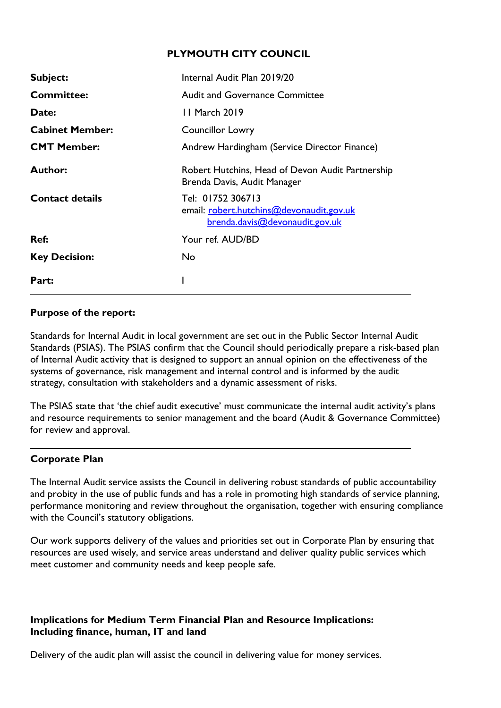## **PLYMOUTH CITY COUNCIL**

| Subject:               | Internal Audit Plan 2019/20                                                                     |  |  |  |  |  |
|------------------------|-------------------------------------------------------------------------------------------------|--|--|--|--|--|
| <b>Committee:</b>      | <b>Audit and Governance Committee</b>                                                           |  |  |  |  |  |
| Date:                  | 11 March 2019                                                                                   |  |  |  |  |  |
| <b>Cabinet Member:</b> | <b>Councillor Lowry</b>                                                                         |  |  |  |  |  |
| <b>CMT Member:</b>     | Andrew Hardingham (Service Director Finance)                                                    |  |  |  |  |  |
| <b>Author:</b>         | Robert Hutchins, Head of Devon Audit Partnership<br>Brenda Davis, Audit Manager                 |  |  |  |  |  |
| <b>Contact details</b> | Tel: 01752 306713<br>email: robert.hutchins@devonaudit.gov.uk<br>brenda.davis@devonaudit.gov.uk |  |  |  |  |  |
| Ref:                   | Your ref. AUD/BD                                                                                |  |  |  |  |  |
| <b>Key Decision:</b>   | No                                                                                              |  |  |  |  |  |
| Part:                  |                                                                                                 |  |  |  |  |  |

## **Purpose of the report:**

Standards for Internal Audit in local government are set out in the Public Sector Internal Audit Standards (PSIAS). The PSIAS confirm that the Council should periodically prepare a risk-based plan of Internal Audit activity that is designed to support an annual opinion on the effectiveness of the systems of governance, risk management and internal control and is informed by the audit strategy, consultation with stakeholders and a dynamic assessment of risks.

The PSIAS state that 'the chief audit executive' must communicate the internal audit activity's plans and resource requirements to senior management and the board (Audit & Governance Committee) for review and approval.

## **Corporate Plan**

The Internal Audit service assists the Council in delivering robust standards of public accountability and probity in the use of public funds and has a role in promoting high standards of service planning, performance monitoring and review throughout the organisation, together with ensuring compliance with the Council's statutory obligations.

Our work supports delivery of the values and priorities set out in Corporate Plan by ensuring that resources are used wisely, and service areas understand and deliver quality public services which meet customer and community needs and keep people safe.

## **Implications for Medium Term Financial Plan and Resource Implications: Including finance, human, IT and land**

Delivery of the audit plan will assist the council in delivering value for money services.